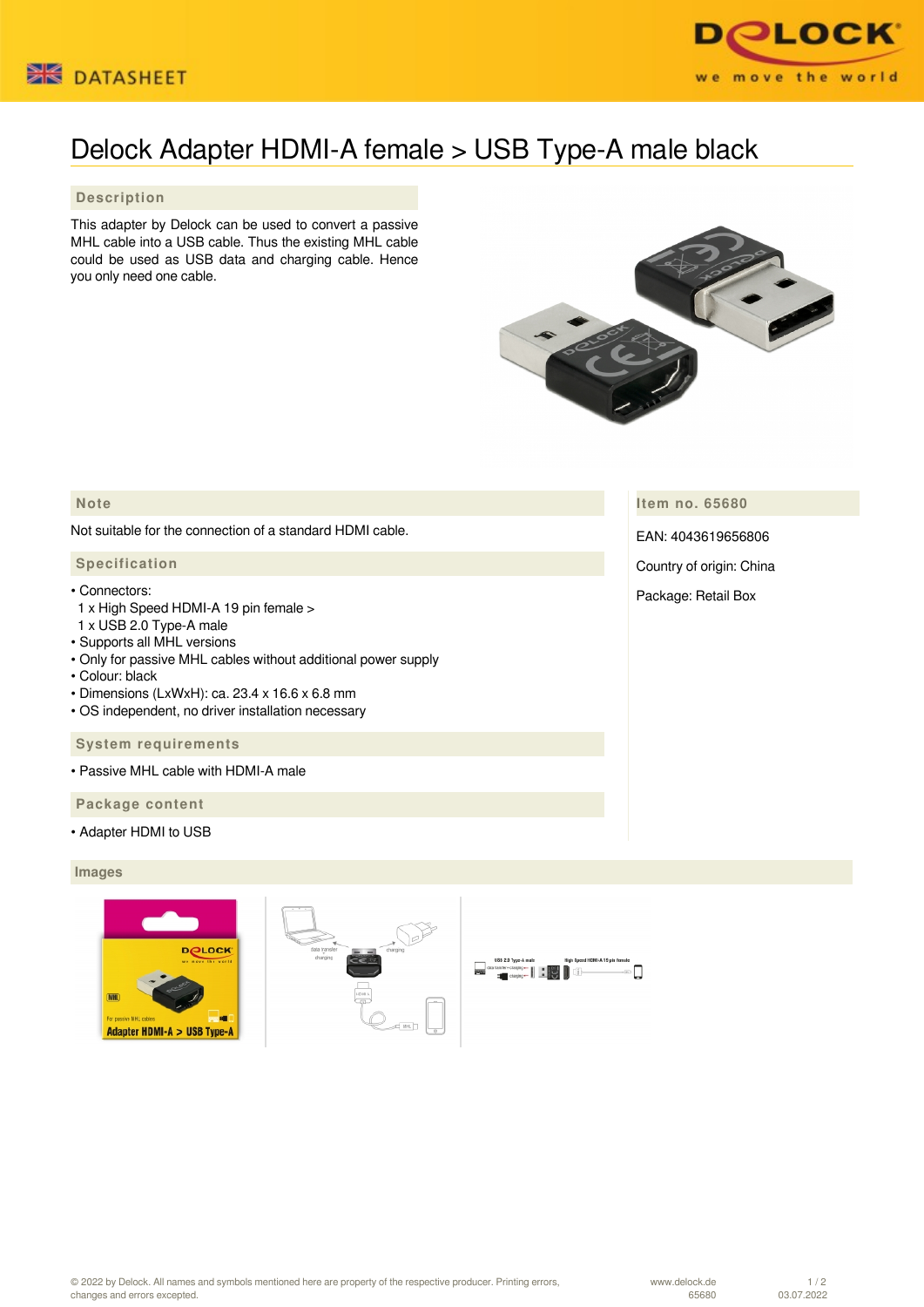



# Delock Adapter HDMI-A female > USB Type-A male black

# **Description**

This adapter by Delock can be used to convert a passive MHL cable into a USB cable. Thus the existing MHL cable could be used as USB data and charging cable. Hence you only need one cable.



## **Note**

Not suitable for the connection of a standard HDMI cable.

#### **Specification**

#### • Connectors:

- 1 x High Speed HDMI-A 19 pin female >
- 1 x USB 2.0 Type-A male
- Supports all MHL versions
- Only for passive MHL cables without additional power supply
- Colour: black
- Dimensions (LxWxH): ca. 23.4 x 16.6 x 6.8 mm
- OS independent, no driver installation necessary

#### **System requirements**

• Passive MHL cable with HDMI-A male

 **Package content**

• Adapter HDMI to USB

### **Images**







**Item no. 65680**

EAN: 4043619656806

Country of origin: China

Package: Retail Box